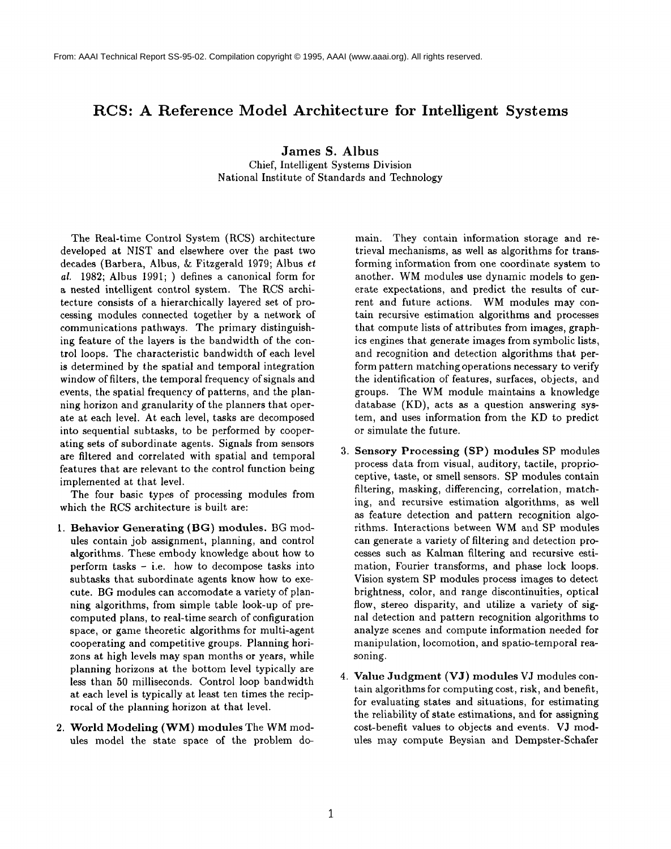## **RCS: A Reference Model Architecture for Intelligent Systems**

**James S. Albus**

Chief, Intelligent Systems Division National Institute of Standards and Technology

The Real-time Control System (RCS) architecture developed at NIST and elsewhere over the past two decades (Barbera, Albus, & Fitzgerald 1979; Albus et *al.* 1982; Albus 1991; ) defines a canonical form for a nested intelligent control system. The RCS architecture consists of a hierarchically layered set of processing modules connected together by a network of communications pathways. The primary distinguishing feature of the layers is the bandwidth of the control loops. The characteristic bandwidth of each level is determined by the spatial and temporal integration window of filters, the temporal frequency of signals and events, the spatial frequency of patterns, and the planning horizon and granularity of the planners that operate at each level. At each level, tasks are decomposed into sequential subtasks, to be performed by cooperating sets of subordinate agents. Signals from sensors are filtered and correlated with spatial and temporal features that are relevant to the control function being implemented at that level.

The four basic types of processing modules from which the RCS architecture is built are:

- 1. Behavior Generating (BG) modules. BG modules contain job assignment, planning, and control algorithms. These embody knowledge about how to perform tasks - i.e. how to decompose tasks into subtasks that subordinate agents know how to execute. BG modules can accomodate a variety of planning algorithms, from simple table look-up of precomputed plans, to real-time search of configuration space, or game theoretic algorithms for multi-agent cooperating and competitive groups. Planning horizons at high levels may span months or years, while planning horizons at the bottom level typically are less than 50 milliseconds. Control loop bandwidth at each level is typically at least ten times the reciprocal of the planning horizon at that level.
- 2. World Modeling (WM) modules The WM modules model the state space of the problem do-

main. They contain information storage and retrieval mechanisms, as well as algorithms for transforming information from one coordinate system to another. WM modules use dynamic models to generate expectations, and predict the results of current and future actions. WM modules may contain recursive estimation algorithms and processes that compute lists of attributes from images, graphics engines that generate images from symbolic lists, and recognition and detection algorithms that perform pattern matching operations necessary to verify the identification of features, surfaces, objects, and groups. The WM module maintains a knowledge database (KD), acts as a question answering system, and uses information from the KD to predict or simulate the future.

- Sensory Processing (SP) modules SP modules process data from visual, auditory, tactile, proprioceptive, taste, or smell sensors. SP modules contain filtering, masking, differencing, correlation, matching, and recursive estimation algorithms, as well as feature detection and pattern recognition algorithms. Interactions between WM and SP modules can generate a variety of filtering and detection processes such as Kalman filtering and reeursive estimation, Fourier transforms, and phase lock loops. Vision system SP modules process images to detect brightness, color, and range discontinuities, optical flow, stereo disparity, and utilize a variety of signal detection and pattern recognition algorithms to analyze scenes and compute information needed for manipulation, locomotion, and spatio-temporal reasoning.
- 4. Value Judgment (VJ) modules VJ modules contain algorithms for computing cost, risk, and benefit, for evaluating states and situations, for estimating the reliability of state estimations, and for assigning cost-benefit values to objects and events. V3 modules may compute Beysian and Dempster-Schafer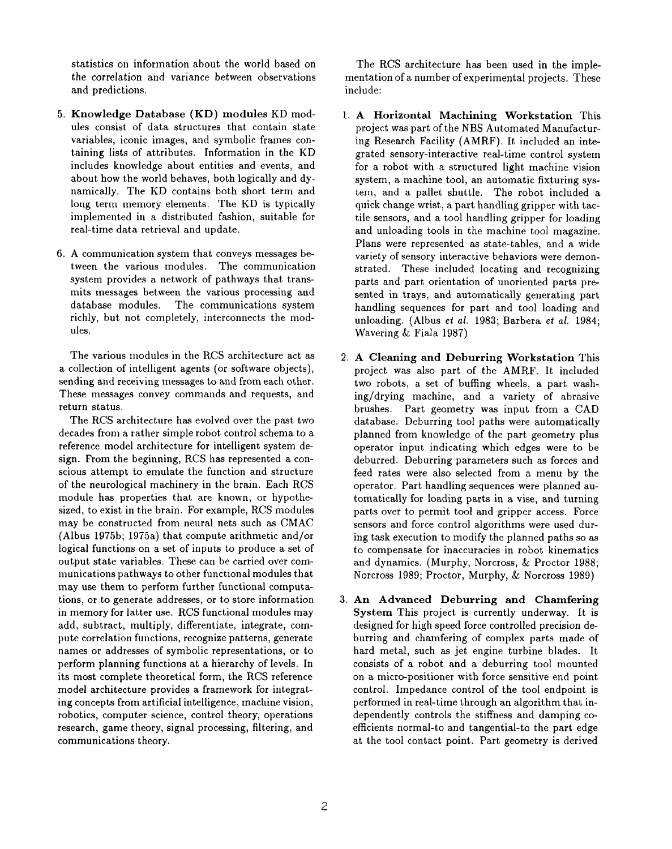statistics on information about the world based on the correlation and variance between observations and predictions.

- 5. Knowledge Database (KD) modules KD modules consist of data structures that contain state variables, iconic images, and symbolic frames containing lists of attributes. Information in the KD includes knowledge about entities and events, and about how the world behaves, both logically and dynamically. The KD contains both short term and long term memory elements. The KD is typically implemented in a distributed fashion, suitable for real-time data retrieval and update.
- 6. A communication system that conveys messages between the various modules. The communication system provides a network of pathways that transmits messages between the various processing and database modules. The communications system richly, but not completely, interconnects the modules.

The various modules in the RCS architecture act as a collection of intelligent agents (or software objects), sending and receiving messages to and from each other. These messages convey commands and requests, and return status.

The RCS architecture has evolved over the past two decades from a rather simple robot control schema to a reference model architecture for intelligent system design. From the beginning, RCS has represented a conscious attempt to emulate the function and structure of the neurological machinery in the brain. Each RCS module has properties that are known, or hypothesized, to exist in the brain. For example, RCS modules may be constructed from neural nets such as CMAC (Albus 1975b; 1975a) that compute arithmetic and/or logical functions on a set of inputs to produce a set of output state variables. These can be carried over communications pathways to other functional modules that may use them to perform further functional computations, or to generate addresses, or to store information in memory for latter use. RCS functional modules may add, subtract, multiply, differentiate, integrate, compute correlation functions, recognize patterns, generate names or addresses of symbolic representations, or to perform planning functions at a hierarchy of levels. In its most complete theoretical form, the RCS reference model architecture provides a framework for integrating concepts from artificial intelligence, machine vision, robotics, computer science, control theory, operations research, game theory, signal processing, filtering, and communications theory.

The RCS architecture has been used in the implementation of a number of experimental projects. These include:

- A Horizontal Machining Workstation This project was part of the NBS Automated Manufacturing Research Facility (AMRF). It included an integrated sensory-interactive real-time control system for a robot with a structured light machine vision system, a machine tool, an automatic fixturing system, and a pallet shuttle. The robot included a quick change wrist, a part handling gripper with tactile sensors, and a tool handling gripper for loading and unloading tools in the machine tool magazine. Plans were represented as state-tables, and a wide variety of sensory interactive behaviors were demonstrated. These included locating and recognizing parts and part orientation of unoriented parts presented in trays, and automatically generating part handling sequences for part and tool loading and unloading. (Albus el *al.* 1983; Barbera *et al.* 1984; Wavering & Fiala 1987)
- A Cleaning and Deburring Workstation This project was also part of the AMRF. It included two robots, a set of buffing wheels, a part washing/drying machine, and a variety of abrasive brushes. Part geometry was input from a CAD database. Deburring tool paths were automatically planned from knowledge of the part geometry plus operator input indicating which edges were to be deburred. Deburring parameters such as forces and feed rates were also selected from a menu by the operator. Part handling sequences were planned automatically for loading parts in a vise, and turning parts over to permit tool and gripper access. Force sensors and force control algorithms were used during task execution to modify the planned paths so as to compensate for inaccuracies in robot kinematics and dynamics. (Murphy, Norcross, & Proctor 1988; Norcross 1989; Proctor, Murphy, & Norcross 1989)
- 3. An Advanced Deburring and Chamfering System This project is currently underway. It is designed for high speed force controlled precision deburring and chamfering of complex parts made of hard metal, such as jet engine turbine blades. It consists of a robot and a deburring tool mounted on a micro-positioner with force sensitive end point control. Impedance control of the tool endpoint is performed in real-time through an algorithm that independently controls the stiffness and damping coefficients normal-to and tangential-to the part edge at the tool contact point. Part geometry is derived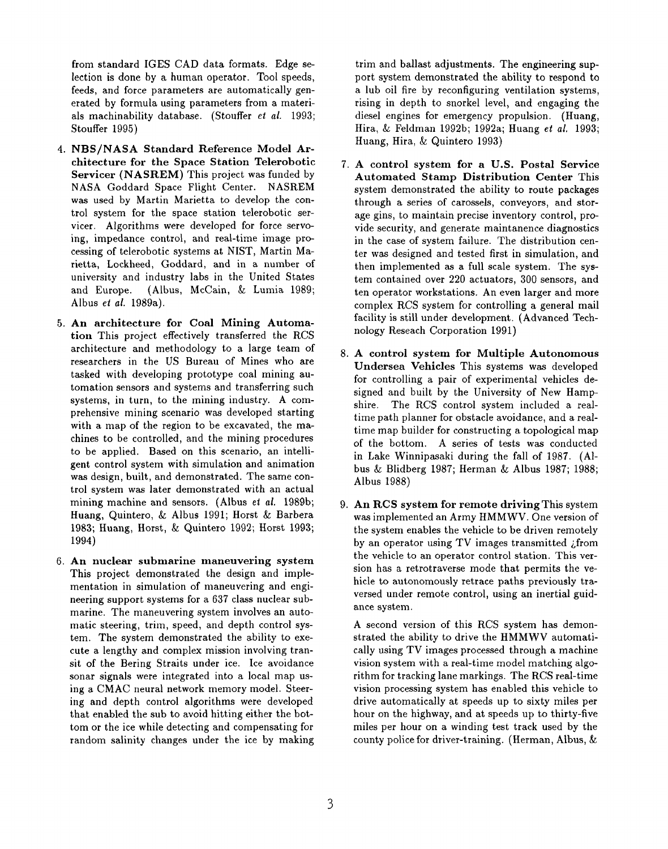from standard IGES CAD data formats. Edge selection is done by a human operator. Tool speeds, feeds, and force parameters are automatically generated by formula using parameters from a materials machinability database. (Stouffer *et al.* 1993; Stouffer 1995)

- 4. NBS/NASA Standard Reference Model Architecture for the Space Station Telerobotic Servicer (NASREM) This project was funded by NASA Goddard Space Flight Center. NASREM was used by Martin Marietta to develop the control system for the space station telerobotic servicer. Algorithms were developed for force servoing, impedance control, and real-time image processing of telerobotic systems at NIST, Martin Marietta, Lockheed, Goddard, and in a number of university and industry labs in the United States and Europe. (Albus, McCain, & Lumia 1989; Albus *el al.* 1989a).
- 5. An architecture for Coal Mining Automation This project effectively transferred the RCS architecture and methodology to a large team of researchers in the US Bureau of Mines who are tasked with developing prototype coal mining automation sensors and systems and transferring such systems, in turn, to the mining industry. A comprehensive mining scenario was developed starting with a map of the region to be excavated, the machines to be controlled, and the mining procedures to be applied. Based on this scenario, an intelligent control system with simulation and animation was design, built, and demonstrated. The same control system was later demonstrated with an actual mining machine and sensors. (Albus *et al.* 1989b; Huang, Quintero, & Albus 1991; Horst & Barbera 1983; Huang, Horst, & Quintero 1992; Horst 1993; 1994)
- 6. An nuclear submarine maneuvering system This project demonstrated the design and implementation in simulation of maneuvering and engineering support systems for a 637 class nuclear submarine. The maneuvering system involves an automatic steering, trim, speed, and depth control system. The system demonstrated the ability to execute a lengthy and complex mission involving transit of the Bering Straits under ice. Ice avoidance sonar signals were integrated into a local map using a CMAC neural network memory model. Steering and depth control algorithms were developed that enabled the sub to avoid hitting either the bottom or the ice while detecting and compensating for random salinity changes under the ice by making

trim and ballast adjustments. The engineering support system demonstrated the ability to respond to a lub oil fire by reconfiguring ventilation systems, rising in depth to snorkel level, and engaging the diesel engines for emergency propulsion. (Huang, Hira, & Feldman 1992b; 1992a; Huang et al. 1993; Huang, Hira,  $&$  Quintero 1993)

- 7. A control system for a U.S. Postal Service Automated Stamp Distribution Center This system demonstrated the ability to route packages through a series of carossels, conveyors, and storage gins, to maintain precise inventory control, provide security, and generate maintanence diagnostics in the case of system failure. The distribution center was designed and tested first in simulation, and then implemented as a full scale system. The system contained over 220 actuators, 300 sensors, and ten operator workstations. An even larger and more complex RCS system for controlling a general mail facility is still under development. (Advanced Technology Reseach Corporation 1991)
- 8. A control system for Multiple Autonomous Undersea Vehicles This systems was developed for controlling a pair of experimental vehicles designed and built by the University of New Hampshire. The RCS control system included a realtime path planner for obstacle avoidance, and a realtime map builder for constructing a topological map of the bottom. A series of tests was conducted in Lake Winnipasaki during the fall of 1987. (Albus & Blidberg 1987; Herman & Albus 1987; 1988; Albus 1988)
- 9. An RCS system for remote driving This system was implemented an Army HMMWV. One version of the system enables the vehicle to be driven remotely by an operator using TV images transmitted  $\chi$  from the vehicle to an operator control station. This version has a retrotraverse mode that permits the vehicle to autonomously retrace paths previously traversed under remote control, using an inertial guidance system.

A second version of this RCS system has demonstrated the ability to drive the HMMWV automatically using TV images processed through a machine vision system with a real-time model matching algorithm for tracking lane markings. The RCS real-time vision processing system has enabled this vehicle to drive automatically at speeds up to sixty miles per hour on the highway, and at speeds up to thirty-five miles per hour on a winding test track used by the county police for driver-training. (Herman, Albus,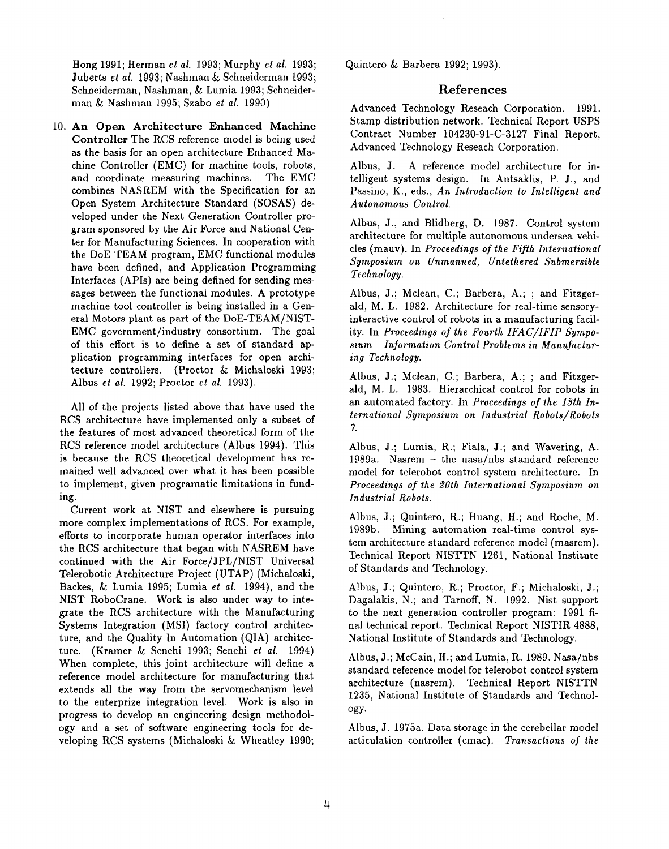Hong 1991; Herman *et al.* 1993; Murphy *el al.* 1993; Juberts et *al.* 1993; Nashman & Sehneiderman 1993; Schneiderman, Nashman, & Lumia 1993; Schneiderman & Nashman 1995; Szabo *et al.* 1990)

**I0.An Open Architecture Enhanced Machine** Controller The RCS reference model is being used as the basis for an open architecture Enhanced Machine Controller (EMC) for machine tools, robots, and coordinate measuring machines. The EMC combines NASREM with the Specification for an Open System Architecture Standard (SOSAS) developed under the Next Generation Controller program sponsored by the Air Force and National Center for Manufacturing Sciences. In cooperation with the DoE TEAM program, EMC functional modules have been defined, and Application Programming Interfaces (APIs) are being defined for sending messages between the functional modules. A prototype machine tool controller isbeing installed in a General Motors plant as part of the DoE-TEAM/NIST-EMC government/industry consortium. The goal of this effort is to define a set of standard application programming interfaces for open architecture controllers. (Proctor & Michaloski 1993; Albus et al. 1992; Proctor et al. 1993).

All of the projects listed above that have used the RCS architecture have implemented only a subset of the features of most advanced theoretical form of the RCS reference model architecture (Albus 1994). This is because the RCS theoretical development has remained well advanced over what it has been possible to implement, given programatic limitations in funding.

Current work at NIST and elsewhere is pursuing more complex implementations of RCS. For example, efforts to incorporate human operator interfaces into the RCS architecture that began with NASREM have continued with the Air Force/JPL/NIST Universal Telerobotic Architecture Project (UTAP) (Michaloski, Backes, & Lumia 1995; Lumia *et al.* 1994), and the NIST RoboCrane. Work is also under way to integrate the RCS architecture with the Manufacturing Systems Integration (MSI) factory control architecture, and the Quality In Automation (QIA) architecture. (Kramer & Senehi 1993; Senehi *et al.* 1994) When complete, this joint architecture will define a reference model architecture for manufacturing that extends all the way from the servomechanism level to the enterprize integration level. Work is also in progress to develop an engineering design methodology and a set of software engineering tools for developing RCS systems (Michaloski & Wheatley 1990; Quintero & Barbera 1992; 1993).

## References

Advanced Technology Reseach Corporation. 1991. Stamp distribution network. Technical Report USPS Contract Number 104230-91-C-3127 Final Report, Advanced Technology Reseach Corporation.

Albus, J. A reference model architecture for intelligent systems design. In Antsaklis, P. J., and Passino, K., eds., *An Introduction to Intelligent and Autonomous Control.*

Albus, J., and Blidberg, D. 1987. Control system architecture for multiple autonomous undersea vehicles (mauv). In *Proceedings of the Fifth International Symposium on Unmanned, Untethered Submersible Technology.*

Albus, J.; Mclean, C.; Barbera, A.; ; and Fitzgerald, M. L. 1982. Architecture for real-time sensoryinteractive control of robots in a manufacturing facility. In *Proceedings of the Fourth IFAC/IFIP Symposium - Information Control Problems in Manufacturing Technology.*

Albus, J.; Mclean, C.; Barbera, A.; ; and Fitzgerald, M. L. 1983. Hierarchical control for robots in an automated factory. In *Proceedings of the 13th International Symposium on Industrial Robots/Robots 7.*

Albus, J.; Lumia, R.; Fiala, J.; and Wavering, A. 1989a. Nasrem - the nasa/nbs standard reference model for telerobot control system architecture. In *Proceedings of the 201h International Symposium on Industrial Robots.*

Albus, J.; Quintero, R.; Huang, H.; and Roche, M. 1989b. Mining automation real-time control system architecture standard reference model (masrem). Technical Report NISTTN 1261, National Institute of Standards and Technology.

Albus, J.; Quintero, R.; Proctor, F.; Michaloski, J.; Dagalakis, N.; and Tarnoff, N. 1992. Nist support to the next generation controller program: 1991 final technical report. Technical Report NISTIR 4888, National Institute of Standards and Technology.

Albus, J.; McCain, H.; and Lumia, R. 1989. Nasa/nbs standard reference model for telerobot control system architecture (nasrem). Technical Report NISTTN 1235, National Institute of Standards and Technology.

Albus, J. 1975a. Data storage in the cerebellar model articulation controller (cmac). *Transaclions of the*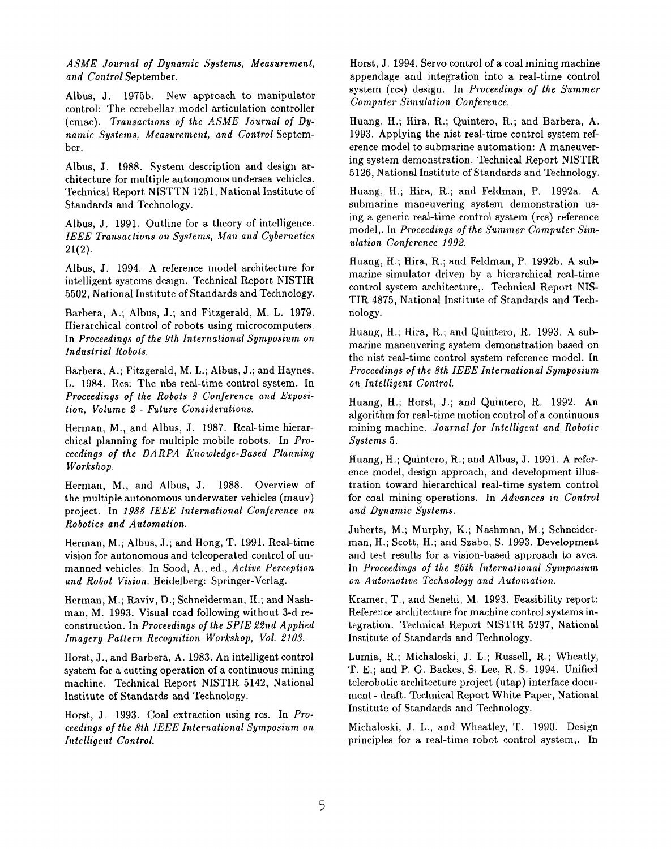*ASME Journal of Dynamic Systems, Measurement, and Control* September.

Albus, J. 1975b. New approach to manipulator control: The cerebellar model articulation controller (cmac). *Transactions of the ASME Journal of Dynamic Systems, Measurement, and Control* Septem*ber.*

Albus, J. 1988. System description and design architecture for multiple autonomous undersea vehicles. Technical Report NISTTN 1251, National Institute of Standards and Technology.

Albus, J. 1991. Outline for a theory of intelligence. *IEEE Transactions on Systems, Man and Cybernetics* 21(2).

Albus, J. 1994. A reference model architecture for intelligent systems design. Technical Report NISTIR 5502, National Institute of Standards and Technology.

Barbera, A.; Albus, J.; and Fitzgerald, M. L. 1979. Hierarchical control of robots using microcomputers. In *Proceedings of the 9th International Symposium on Industrial Robots.*

Barbera, A.; Fitzgerald, M. L.; Albus, J.; and Haynes, L. 1984. Rcs: The nbs real-time control system. In *Proceedings of the Robots 8 Conference and Exposition, Volume 2 - Future Considerations.*

Herman, M., and Albus, J. 1987. Real-time hierarchical planning for nmltiple mobile robots. In *Proceedings of the DARPA Knowledge-Based Planning Workshop.*

Herman, M., and Albus, J. 1988. Overview of the multiple autonomous underwater vehicles (mauv) project. In *1988 IEEE btternational Conference on Robotics and Automation.*

Herman, M.; Albus, J.; and Hong, T. 1991. Real-time vision for autonomous and teleoperated control of unmanned vehicles. In Sood, A., ed., *Active Perception and Robot Vision.* Heidelberg: Springer-Verlag.

Herman, M.; Raviv, D.; Schneiderman, H.; and Nashman, M. 1993. Visual road following without 3-d reconstruction. In *Proceedings of the SPIE 22nd Applied Imagery Pattern Recognition Workshop, Vol. 2103.*

Horst, J., and Barbera, A. 1983. An intelligent control system for a cutting operation of a continuous mining machine. Technical Report NISTIR 5142, National Institute of Standards and Technology.

Horst, J. 1993. Coal extraction using rcs. In *Proceedings of the 8th IEEE International Symposium on Intelligent Control.*

Horst, J. 1994. Servo control of a coal mining machine appendage and integration into a real-time control system (rcs) design. In *Proceedings of the Summer Computer Simulation Conference.*

Huang, H.; Hira, R.; Quintero, R.; and Barbera, A. 1993. Applying the nist real-time control system reference model to submarine automation: A maneuvering system demonstration. Technical Report NISTIR 5126, National Institute of Standards and Technology.

Huang, H.; Hira, R.; and Feldman, P. 1992a. A submarine maneuvering system demonstration using a generic real-time control system (rcs) reference model,. In *Proceedings of the Summer Computer Simulation Conference 1992.*

Huang, H.; Hira, R.; and Feldman, P. 1992b. A submarine simulator driven by a hierarchical real-time control system architecture,. Technical Report NIS-TIR 4875, National Institute of Standards and Technology.

Huang, H.; Hira, R.; and Quintero, R. 1993. A submarine maneuvering system demonstration based on the nist real-time control system reference model. In *Proceedings of the 8th IEEE International Symposium on Intelligent Control.*

Huang, H.; Horst, J.; and Quintero, R. 1992. An algorithm for real-time motion control of a continuous mining machine. *Journal for Intelligent and Robotic Systems 5.*

Huang, H.; Quintero, R.; and Albus, J. 1991. A reference model, design approach, and development illustration toward hierarchical real-time system control for coal mining operations. In *Advances in Control and Dynamic Systems.*

Juberts, M.; Murphy, K.; Nashman, M.; Schneiderman, H.; Scott, H.; and Szabo, S. 1993. Development and test results for a vision-based approach to avcs. In *Proceedings of the 26lh International Symposium on Automotive Technology and Automation.*

Kramer, T., and Senehi, M. 1993. Feasibility report: Reference architecture for machine control systems integration. Technical Report NISTIR 5297, National Institute of Standards and Technology.

Lumia, R.; Michaloski, J. L.; Russell, R.; Wheatly, T. E.; and P. G. Backes, S. Lee, R. S. 1994. Unified telerobotic architecture project (utap) interface document- draft. Technical Report White Paper, National Institute of Standards and Technology.

Michaloski, J. L., and Wheatley, T. 1990. Design principles for a real-time robot control system,. In